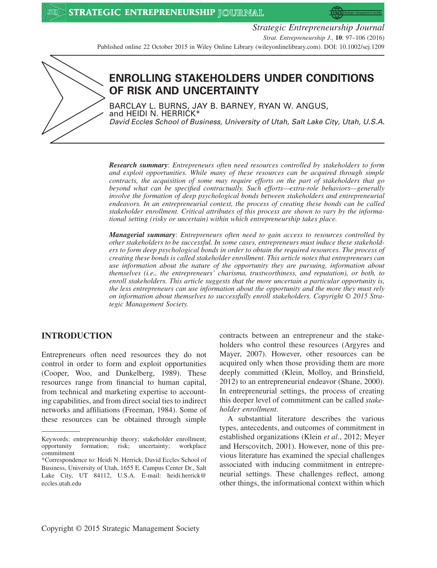

*Strategic Entrepreneurship Journal*

Published online 22 October 2015 in Wiley Online Library (wileyonlinelibrary.com). DOI: 10.1002/sej.1209 *Strat. Entrepreneurship J.,* **10**: 97–106 (2016)



# **ENROLLING STAKEHOLDERS UNDER CONDITIONS OF RISK AND UNCERTAINTY**

BARCLAY L. BURNS, JAY B. BARNEY, RYAN W. ANGUS, and HEIDI N. HERRICK\* *David Eccles School of Business, University of Utah, Salt Lake City, Utah, U.S.A.*

*Research summary*: *Entrepreneurs often need resources controlled by stakeholders to form and exploit opportunities. While many of these resources can be acquired through simple contracts, the acquisition of some may require efforts on the part of stakeholders that go beyond what can be specified contractually. Such efforts—extra-role behaviors—generally involve the formation of deep psychological bonds between stakeholders and entrepreneurial endeavors. In an entrepreneurial context, the process of creating these bonds can be called stakeholder enrollment. Critical attributes of this process are shown to vary by the informational setting (risky or uncertain) within which entrepreneurship takes place.*

*Managerial summary*: *Entrepreneurs often need to gain access to resources controlled by other stakeholders to be successful. In some cases, entrepreneurs must induce these stakeholders to form deep psychological bonds in order to obtain the required resources. The process of creating these bonds is called stakeholder enrollment. This article notes that entrepreneurs can use information about the nature of the opportunity they are pursuing, information about themselves (i.e., the entrepreneurs' charisma, trustworthiness, and reputation), or both, to enroll stakeholders. This article suggests that the more uncertain a particular opportunity is, the less entrepreneurs can use information about the opportunity and the more they must rely on information about themselves to successfully enroll stakeholders. Copyright © 2015 Strategic Management Society.*

# **INTRODUCTION**

Entrepreneurs often need resources they do not control in order to form and exploit opportunities (Cooper, Woo, and Dunkelberg, 1989). These resources range from financial to human capital, from technical and marketing expertise to accounting capabilities, and from direct social ties to indirect networks and affiliations (Freeman, 1984). Some of these resources can be obtained through simple

contracts between an entrepreneur and the stakeholders who control these resources (Argyres and Mayer, 2007). However, other resources can be acquired only when those providing them are more deeply committed (Klein, Molloy, and Brinsfield, 2012) to an entrepreneurial endeavor (Shane, 2000). In entrepreneurial settings, the process of creating this deeper level of commitment can be called *stakeholder enrollment*.

A substantial literature describes the various types, antecedents, and outcomes of commitment in established organizations (Klein *et al*., 2012; Meyer and Herscovitch, 2001). However, none of this previous literature has examined the special challenges associated with inducing commitment in entrepreneurial settings. These challenges reflect, among other things, the informational context within which

Keywords: entrepreneurship theory; stakeholder enrollment; opportunity formation; risk; uncertainty; workplace commitment

<sup>\*</sup>Correspondence to: Heidi N. Herrick, David Eccles School of Business, University of Utah, 1655 E. Campus Center Dr., Salt Lake City, UT 84112, U.S.A. E-mail: [heidi.herrick@](mailto:heidi.herrick@eccles.utah.edu) [eccles.utah.edu](mailto:heidi.herrick@eccles.utah.edu)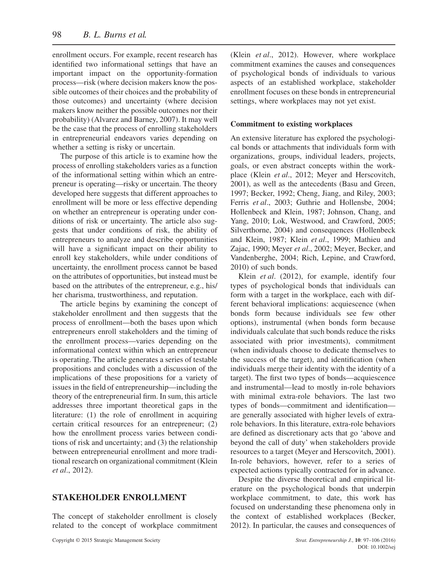enrollment occurs. For example, recent research has identified two informational settings that have an important impact on the opportunity-formation process—risk (where decision makers know the possible outcomes of their choices and the probability of those outcomes) and uncertainty (where decision makers know neither the possible outcomes nor their probability) (Alvarez and Barney, 2007). It may well be the case that the process of enrolling stakeholders in entrepreneurial endeavors varies depending on whether a setting is risky or uncertain.

The purpose of this article is to examine how the process of enrolling stakeholders varies as a function of the informational setting within which an entrepreneur is operating—risky or uncertain. The theory developed here suggests that different approaches to enrollment will be more or less effective depending on whether an entrepreneur is operating under conditions of risk or uncertainty. The article also suggests that under conditions of risk, the ability of entrepreneurs to analyze and describe opportunities will have a significant impact on their ability to enroll key stakeholders, while under conditions of uncertainty, the enrollment process cannot be based on the attributes of opportunities, but instead must be based on the attributes of the entrepreneur, e.g., his/ her charisma, trustworthiness, and reputation.

The article begins by examining the concept of stakeholder enrollment and then suggests that the process of enrollment—both the bases upon which entrepreneurs enroll stakeholders and the timing of the enrollment process—varies depending on the informational context within which an entrepreneur is operating. The article generates a series of testable propositions and concludes with a discussion of the implications of these propositions for a variety of issues in the field of entrepreneurship—including the theory of the entrepreneurial firm. In sum, this article addresses three important theoretical gaps in the literature: (1) the role of enrollment in acquiring certain critical resources for an entrepreneur; (2) how the enrollment process varies between conditions of risk and uncertainty; and (3) the relationship between entrepreneurial enrollment and more traditional research on organizational commitment (Klein *et al*., 2012).

# **STAKEHOLDER ENROLLMENT**

The concept of stakeholder enrollment is closely related to the concept of workplace commitment (Klein *et al*., 2012). However, where workplace commitment examines the causes and consequences of psychological bonds of individuals to various aspects of an established workplace, stakeholder enrollment focuses on these bonds in entrepreneurial settings, where workplaces may not yet exist.

## **Commitment to existing workplaces**

An extensive literature has explored the psychological bonds or attachments that individuals form with organizations, groups, individual leaders, projects, goals, or even abstract concepts within the workplace (Klein *et al*., 2012; Meyer and Herscovitch, 2001), as well as the antecedents (Basu and Green, 1997; Becker, 1992; Cheng, Jiang, and Riley, 2003; Ferris *et al*., 2003; Guthrie and Hollensbe, 2004; Hollenbeck and Klein, 1987; Johnson, Chang, and Yang, 2010; Lok, Westwood, and Crawford, 2005; Silverthorne, 2004) and consequences (Hollenbeck and Klein, 1987; Klein *et al*., 1999; Mathieu and Zajac, 1990; Meyer *et al*., 2002; Meyer, Becker, and Vandenberghe, 2004; Rich, Lepine, and Crawford, 2010) of such bonds.

Klein *et al*. (2012), for example, identify four types of psychological bonds that individuals can form with a target in the workplace, each with different behavioral implications: acquiescence (when bonds form because individuals see few other options), instrumental (when bonds form because individuals calculate that such bonds reduce the risks associated with prior investments), commitment (when individuals choose to dedicate themselves to the success of the target), and identification (when individuals merge their identity with the identity of a target). The first two types of bonds—acquiescence and instrumental—lead to mostly in-role behaviors with minimal extra-role behaviors. The last two types of bonds—commitment and identification are generally associated with higher levels of extrarole behaviors. In this literature, extra-role behaviors are defined as discretionary acts that go 'above and beyond the call of duty' when stakeholders provide resources to a target (Meyer and Herscovitch, 2001). In-role behaviors, however, refer to a series of expected actions typically contracted for in advance.

Despite the diverse theoretical and empirical literature on the psychological bonds that underpin workplace commitment, to date, this work has focused on understanding these phenomena only in the context of established workplaces (Becker, 2012). In particular, the causes and consequences of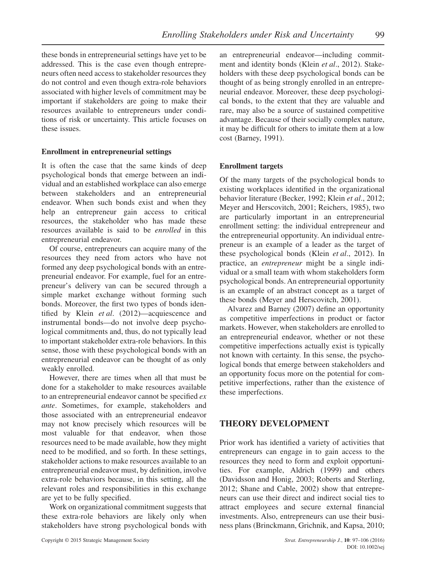these bonds in entrepreneurial settings have yet to be addressed. This is the case even though entrepreneurs often need access to stakeholder resources they do not control and even though extra-role behaviors associated with higher levels of commitment may be important if stakeholders are going to make their resources available to entrepreneurs under conditions of risk or uncertainty. This article focuses on these issues.

#### **Enrollment in entrepreneurial settings**

It is often the case that the same kinds of deep psychological bonds that emerge between an individual and an established workplace can also emerge between stakeholders and an entrepreneurial endeavor. When such bonds exist and when they help an entrepreneur gain access to critical resources, the stakeholder who has made these resources available is said to be *enrolled* in this entrepreneurial endeavor.

Of course, entrepreneurs can acquire many of the resources they need from actors who have not formed any deep psychological bonds with an entrepreneurial endeavor. For example, fuel for an entrepreneur's delivery van can be secured through a simple market exchange without forming such bonds. Moreover, the first two types of bonds identified by Klein *et al*. (2012)—acquiescence and instrumental bonds—do not involve deep psychological commitments and, thus, do not typically lead to important stakeholder extra-role behaviors. In this sense, those with these psychological bonds with an entrepreneurial endeavor can be thought of as only weakly enrolled.

However, there are times when all that must be done for a stakeholder to make resources available to an entrepreneurial endeavor cannot be specified *ex ante*. Sometimes, for example, stakeholders and those associated with an entrepreneurial endeavor may not know precisely which resources will be most valuable for that endeavor, when those resources need to be made available, how they might need to be modified, and so forth. In these settings, stakeholder actions to make resources available to an entrepreneurial endeavor must, by definition, involve extra-role behaviors because, in this setting, all the relevant roles and responsibilities in this exchange are yet to be fully specified.

Work on organizational commitment suggests that these extra-role behaviors are likely only when stakeholders have strong psychological bonds with

an entrepreneurial endeavor—including commitment and identity bonds (Klein *et al*., 2012). Stakeholders with these deep psychological bonds can be thought of as being strongly enrolled in an entrepreneurial endeavor. Moreover, these deep psychological bonds, to the extent that they are valuable and rare, may also be a source of sustained competitive advantage. Because of their socially complex nature, it may be difficult for others to imitate them at a low cost (Barney, 1991).

#### **Enrollment targets**

Of the many targets of the psychological bonds to existing workplaces identified in the organizational behavior literature (Becker, 1992; Klein *et al*., 2012; Meyer and Herscovitch, 2001; Reichers, 1985), two are particularly important in an entrepreneurial enrollment setting: the individual entrepreneur and the entrepreneurial opportunity. An individual entrepreneur is an example of a leader as the target of these psychological bonds (Klein *et al*., 2012). In practice, an *entrepreneur* might be a single individual or a small team with whom stakeholders form psychological bonds. An entrepreneurial opportunity is an example of an abstract concept as a target of these bonds (Meyer and Herscovitch, 2001).

Alvarez and Barney (2007) define an opportunity as competitive imperfections in product or factor markets. However, when stakeholders are enrolled to an entrepreneurial endeavor, whether or not these competitive imperfections actually exist is typically not known with certainty. In this sense, the psychological bonds that emerge between stakeholders and an opportunity focus more on the potential for competitive imperfections, rather than the existence of these imperfections.

### **THEORY DEVELOPMENT**

Prior work has identified a variety of activities that entrepreneurs can engage in to gain access to the resources they need to form and exploit opportunities. For example, Aldrich (1999) and others (Davidsson and Honig, 2003; Roberts and Sterling, 2012; Shane and Cable, 2002) show that entrepreneurs can use their direct and indirect social ties to attract employees and secure external financial investments. Also, entrepreneurs can use their business plans (Brinckmann, Grichnik, and Kapsa, 2010;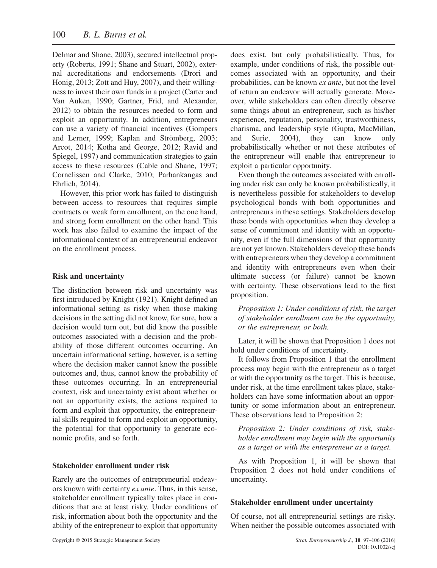Delmar and Shane, 2003), secured intellectual property (Roberts, 1991; Shane and Stuart, 2002), external accreditations and endorsements (Drori and Honig, 2013; Zott and Huy, 2007), and their willingness to invest their own funds in a project (Carter and Van Auken, 1990; Gartner, Frid, and Alexander, 2012) to obtain the resources needed to form and exploit an opportunity. In addition, entrepreneurs can use a variety of financial incentives (Gompers and Lerner, 1999; Kaplan and Strömberg, 2003; Arcot, 2014; Kotha and George, 2012; Ravid and Spiegel, 1997) and communication strategies to gain access to these resources (Cable and Shane, 1997; Cornelissen and Clarke, 2010; Parhankangas and Ehrlich, 2014).

However, this prior work has failed to distinguish between access to resources that requires simple contracts or weak form enrollment, on the one hand, and strong form enrollment on the other hand. This work has also failed to examine the impact of the informational context of an entrepreneurial endeavor on the enrollment process.

## **Risk and uncertainty**

The distinction between risk and uncertainty was first introduced by Knight (1921). Knight defined an informational setting as risky when those making decisions in the setting did not know, for sure, how a decision would turn out, but did know the possible outcomes associated with a decision and the probability of those different outcomes occurring. An uncertain informational setting, however, is a setting where the decision maker cannot know the possible outcomes and, thus, cannot know the probability of these outcomes occurring. In an entrepreneurial context, risk and uncertainty exist about whether or not an opportunity exists, the actions required to form and exploit that opportunity, the entrepreneurial skills required to form and exploit an opportunity, the potential for that opportunity to generate economic profits, and so forth.

#### **Stakeholder enrollment under risk**

Rarely are the outcomes of entrepreneurial endeavors known with certainty *ex ante*. Thus, in this sense, stakeholder enrollment typically takes place in conditions that are at least risky. Under conditions of risk, information about both the opportunity and the ability of the entrepreneur to exploit that opportunity does exist, but only probabilistically. Thus, for example, under conditions of risk, the possible outcomes associated with an opportunity, and their probabilities, can be known *ex ante*, but not the level of return an endeavor will actually generate. Moreover, while stakeholders can often directly observe some things about an entrepreneur, such as his/her experience, reputation, personality, trustworthiness, charisma, and leadership style (Gupta, MacMillan, and Surie, 2004), they can know only probabilistically whether or not these attributes of the entrepreneur will enable that entrepreneur to exploit a particular opportunity.

Even though the outcomes associated with enrolling under risk can only be known probabilistically, it is nevertheless possible for stakeholders to develop psychological bonds with both opportunities and entrepreneurs in these settings. Stakeholders develop these bonds with opportunities when they develop a sense of commitment and identity with an opportunity, even if the full dimensions of that opportunity are not yet known. Stakeholders develop these bonds with entrepreneurs when they develop a commitment and identity with entrepreneurs even when their ultimate success (or failure) cannot be known with certainty. These observations lead to the first proposition.

*Proposition 1: Under conditions of risk, the target of stakeholder enrollment can be the opportunity, or the entrepreneur, or both.*

Later, it will be shown that Proposition 1 does not hold under conditions of uncertainty.

It follows from Proposition 1 that the enrollment process may begin with the entrepreneur as a target or with the opportunity as the target. This is because, under risk, at the time enrollment takes place, stakeholders can have some information about an opportunity or some information about an entrepreneur. These observations lead to Proposition 2:

*Proposition 2: Under conditions of risk, stakeholder enrollment may begin with the opportunity as a target or with the entrepreneur as a target.*

As with Proposition 1, it will be shown that Proposition 2 does not hold under conditions of uncertainty.

#### **Stakeholder enrollment under uncertainty**

Of course, not all entrepreneurial settings are risky. When neither the possible outcomes associated with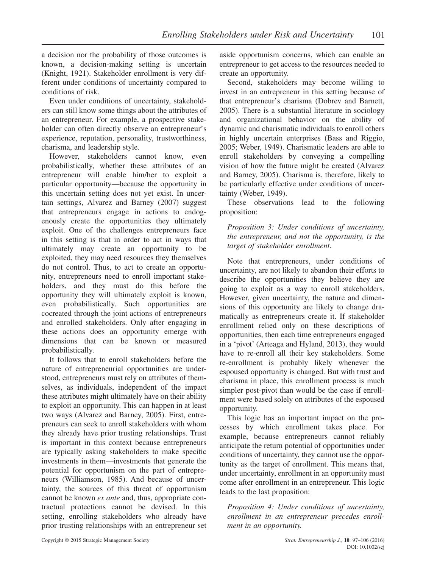a decision nor the probability of those outcomes is known, a decision-making setting is uncertain (Knight, 1921). Stakeholder enrollment is very different under conditions of uncertainty compared to conditions of risk.

Even under conditions of uncertainty, stakeholders can still know some things about the attributes of an entrepreneur. For example, a prospective stakeholder can often directly observe an entrepreneur's experience, reputation, personality, trustworthiness, charisma, and leadership style.

However, stakeholders cannot know, even probabilistically, whether these attributes of an entrepreneur will enable him/her to exploit a particular opportunity—because the opportunity in this uncertain setting does not yet exist. In uncertain settings, Alvarez and Barney (2007) suggest that entrepreneurs engage in actions to endogenously create the opportunities they ultimately exploit. One of the challenges entrepreneurs face in this setting is that in order to act in ways that ultimately may create an opportunity to be exploited, they may need resources they themselves do not control. Thus, to act to create an opportunity, entrepreneurs need to enroll important stakeholders, and they must do this before the opportunity they will ultimately exploit is known, even probabilistically. Such opportunities are cocreated through the joint actions of entrepreneurs and enrolled stakeholders. Only after engaging in these actions does an opportunity emerge with dimensions that can be known or measured probabilistically.

It follows that to enroll stakeholders before the nature of entrepreneurial opportunities are understood, entrepreneurs must rely on attributes of themselves, as individuals, independent of the impact these attributes might ultimately have on their ability to exploit an opportunity. This can happen in at least two ways (Alvarez and Barney, 2005). First, entrepreneurs can seek to enroll stakeholders with whom they already have prior trusting relationships. Trust is important in this context because entrepreneurs are typically asking stakeholders to make specific investments in them—investments that generate the potential for opportunism on the part of entrepreneurs (Williamson, 1985). And because of uncertainty, the sources of this threat of opportunism cannot be known *ex ante* and, thus, appropriate contractual protections cannot be devised. In this setting, enrolling stakeholders who already have prior trusting relationships with an entrepreneur set aside opportunism concerns, which can enable an entrepreneur to get access to the resources needed to create an opportunity.

Second, stakeholders may become willing to invest in an entrepreneur in this setting because of that entrepreneur's charisma (Dobrev and Barnett, 2005). There is a substantial literature in sociology and organizational behavior on the ability of dynamic and charismatic individuals to enroll others in highly uncertain enterprises (Bass and Riggio, 2005; Weber, 1949). Charismatic leaders are able to enroll stakeholders by conveying a compelling vision of how the future might be created (Alvarez and Barney, 2005). Charisma is, therefore, likely to be particularly effective under conditions of uncertainty (Weber, 1949).

These observations lead to the following proposition:

# *Proposition 3: Under conditions of uncertainty, the entrepreneur, and not the opportunity, is the target of stakeholder enrollment.*

Note that entrepreneurs, under conditions of uncertainty, are not likely to abandon their efforts to describe the opportunities they believe they are going to exploit as a way to enroll stakeholders. However, given uncertainty, the nature and dimensions of this opportunity are likely to change dramatically as entrepreneurs create it. If stakeholder enrollment relied only on these descriptions of opportunities, then each time entrepreneurs engaged in a 'pivot' (Arteaga and Hyland, 2013), they would have to re-enroll all their key stakeholders. Some re-enrollment is probably likely whenever the espoused opportunity is changed. But with trust and charisma in place, this enrollment process is much simpler post-pivot than would be the case if enrollment were based solely on attributes of the espoused opportunity.

This logic has an important impact on the processes by which enrollment takes place. For example, because entrepreneurs cannot reliably anticipate the return potential of opportunities under conditions of uncertainty, they cannot use the opportunity as the target of enrollment. This means that, under uncertainty, enrollment in an opportunity must come after enrollment in an entrepreneur. This logic leads to the last proposition:

*Proposition 4: Under conditions of uncertainty, enrollment in an entrepreneur precedes enrollment in an opportunity.*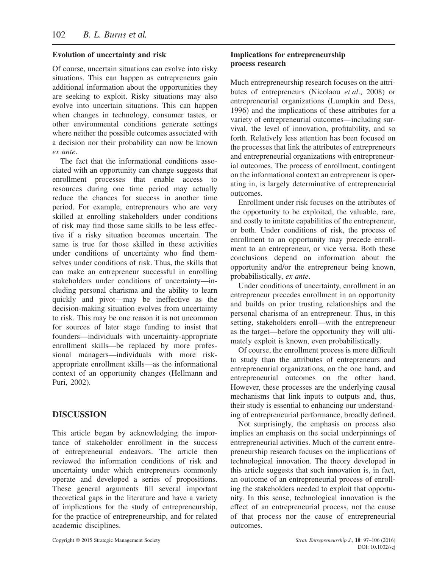## **Evolution of uncertainty and risk**

Of course, uncertain situations can evolve into risky situations. This can happen as entrepreneurs gain additional information about the opportunities they are seeking to exploit. Risky situations may also evolve into uncertain situations. This can happen when changes in technology, consumer tastes, or other environmental conditions generate settings where neither the possible outcomes associated with a decision nor their probability can now be known *ex ante*.

The fact that the informational conditions associated with an opportunity can change suggests that enrollment processes that enable access to resources during one time period may actually reduce the chances for success in another time period. For example, entrepreneurs who are very skilled at enrolling stakeholders under conditions of risk may find those same skills to be less effective if a risky situation becomes uncertain. The same is true for those skilled in these activities under conditions of uncertainty who find themselves under conditions of risk. Thus, the skills that can make an entrepreneur successful in enrolling stakeholders under conditions of uncertainty—including personal charisma and the ability to learn quickly and pivot—may be ineffective as the decision-making situation evolves from uncertainty to risk. This may be one reason it is not uncommon for sources of later stage funding to insist that founders—individuals with uncertainty-appropriate enrollment skills—be replaced by more professional managers—individuals with more riskappropriate enrollment skills—as the informational context of an opportunity changes (Hellmann and Puri, 2002).

# **DISCUSSION**

This article began by acknowledging the importance of stakeholder enrollment in the success of entrepreneurial endeavors. The article then reviewed the information conditions of risk and uncertainty under which entrepreneurs commonly operate and developed a series of propositions. These general arguments fill several important theoretical gaps in the literature and have a variety of implications for the study of entrepreneurship, for the practice of entrepreneurship, and for related academic disciplines.

## **Implications for entrepreneurship process research**

Much entrepreneurship research focuses on the attributes of entrepreneurs (Nicolaou *et al*., 2008) or entrepreneurial organizations (Lumpkin and Dess, 1996) and the implications of these attributes for a variety of entrepreneurial outcomes—including survival, the level of innovation, profitability, and so forth. Relatively less attention has been focused on the processes that link the attributes of entrepreneurs and entrepreneurial organizations with entrepreneurial outcomes. The process of enrollment, contingent on the informational context an entrepreneur is operating in, is largely determinative of entrepreneurial outcomes.

Enrollment under risk focuses on the attributes of the opportunity to be exploited, the valuable, rare, and costly to imitate capabilities of the entrepreneur, or both. Under conditions of risk, the process of enrollment to an opportunity may precede enrollment to an entrepreneur, or vice versa. Both these conclusions depend on information about the opportunity and/or the entrepreneur being known, probabilistically, *ex ante*.

Under conditions of uncertainty, enrollment in an entrepreneur precedes enrollment in an opportunity and builds on prior trusting relationships and the personal charisma of an entrepreneur. Thus, in this setting, stakeholders enroll—with the entrepreneur as the target—before the opportunity they will ultimately exploit is known, even probabilistically.

Of course, the enrollment process is more difficult to study than the attributes of entrepreneurs and entrepreneurial organizations, on the one hand, and entrepreneurial outcomes on the other hand. However, these processes are the underlying causal mechanisms that link inputs to outputs and, thus, their study is essential to enhancing our understanding of entrepreneurial performance, broadly defined.

Not surprisingly, the emphasis on process also implies an emphasis on the social underpinnings of entrepreneurial activities. Much of the current entrepreneurship research focuses on the implications of technological innovation. The theory developed in this article suggests that such innovation is, in fact, an outcome of an entrepreneurial process of enrolling the stakeholders needed to exploit that opportunity. In this sense, technological innovation is the effect of an entrepreneurial process, not the cause of that process nor the cause of entrepreneurial outcomes.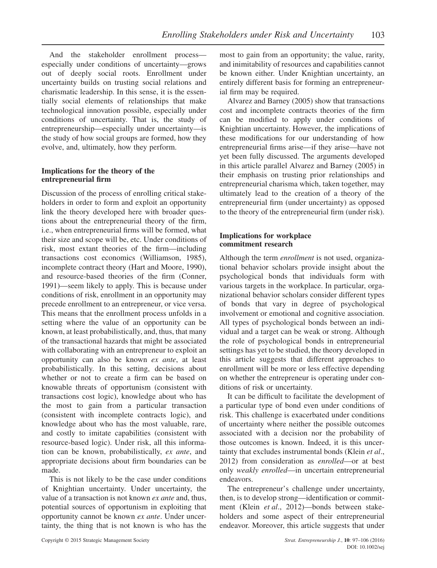And the stakeholder enrollment process especially under conditions of uncertainty—grows out of deeply social roots. Enrollment under uncertainty builds on trusting social relations and charismatic leadership. In this sense, it is the essentially social elements of relationships that make technological innovation possible, especially under conditions of uncertainty. That is, the study of entrepreneurship—especially under uncertainty—is the study of how social groups are formed, how they evolve, and, ultimately, how they perform.

## **Implications for the theory of the entrepreneurial firm**

Discussion of the process of enrolling critical stakeholders in order to form and exploit an opportunity link the theory developed here with broader questions about the entrepreneurial theory of the firm, i.e., when entrepreneurial firms will be formed, what their size and scope will be, etc. Under conditions of risk, most extant theories of the firm—including transactions cost economics (Williamson, 1985), incomplete contract theory (Hart and Moore, 1990), and resource-based theories of the firm (Conner, 1991)—seem likely to apply. This is because under conditions of risk, enrollment in an opportunity may precede enrollment to an entrepreneur, or vice versa. This means that the enrollment process unfolds in a setting where the value of an opportunity can be known, at least probabilistically, and, thus, that many of the transactional hazards that might be associated with collaborating with an entrepreneur to exploit an opportunity can also be known *ex ante*, at least probabilistically. In this setting, decisions about whether or not to create a firm can be based on knowable threats of opportunism (consistent with transactions cost logic), knowledge about who has the most to gain from a particular transaction (consistent with incomplete contracts logic), and knowledge about who has the most valuable, rare, and costly to imitate capabilities (consistent with resource-based logic). Under risk, all this information can be known, probabilistically, *ex ante*, and appropriate decisions about firm boundaries can be made.

This is not likely to be the case under conditions of Knightian uncertainty. Under uncertainty, the value of a transaction is not known *ex ante* and, thus, potential sources of opportunism in exploiting that opportunity cannot be known *ex ante*. Under uncertainty, the thing that is not known is who has the

most to gain from an opportunity; the value, rarity, and inimitability of resources and capabilities cannot be known either. Under Knightian uncertainty, an entirely different basis for forming an entrepreneurial firm may be required.

Alvarez and Barney (2005) show that transactions cost and incomplete contracts theories of the firm can be modified to apply under conditions of Knightian uncertainty. However, the implications of these modifications for our understanding of how entrepreneurial firms arise—if they arise—have not yet been fully discussed. The arguments developed in this article parallel Alvarez and Barney (2005) in their emphasis on trusting prior relationships and entrepreneurial charisma which, taken together, may ultimately lead to the creation of a theory of the entrepreneurial firm (under uncertainty) as opposed to the theory of the entrepreneurial firm (under risk).

# **Implications for workplace commitment research**

Although the term *enrollment* is not used, organizational behavior scholars provide insight about the psychological bonds that individuals form with various targets in the workplace. In particular, organizational behavior scholars consider different types of bonds that vary in degree of psychological involvement or emotional and cognitive association. All types of psychological bonds between an individual and a target can be weak or strong. Although the role of psychological bonds in entrepreneurial settings has yet to be studied, the theory developed in this article suggests that different approaches to enrollment will be more or less effective depending on whether the entrepreneur is operating under conditions of risk or uncertainty.

It can be difficult to facilitate the development of a particular type of bond even under conditions of risk. This challenge is exacerbated under conditions of uncertainty where neither the possible outcomes associated with a decision nor the probability of those outcomes is known. Indeed, it is this uncertainty that excludes instrumental bonds (Klein *et al*., 2012) from consideration as *enrolled*—or at best only *weakly enrolled*—in uncertain entrepreneurial endeavors.

The entrepreneur's challenge under uncertainty, then, is to develop strong—identification or commitment (Klein *et al*., 2012)—bonds between stakeholders and some aspect of their entrepreneurial endeavor. Moreover, this article suggests that under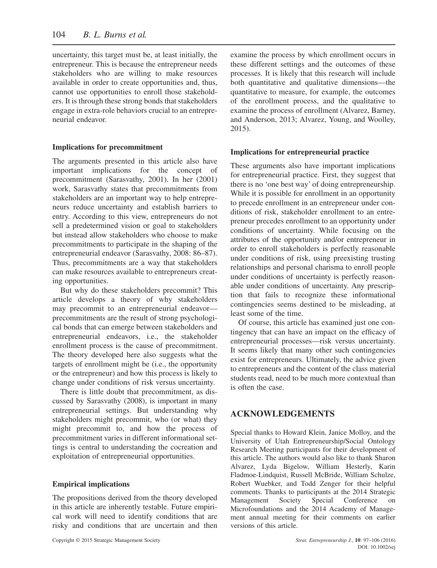uncertainty, this target must be, at least initially, the entrepreneur. This is because the entrepreneur needs stakeholders who are willing to make resources available in order to create opportunities and, thus, cannot use opportunities to enroll those stakeholders. It is through these strong bonds that stakeholders engage in extra-role behaviors crucial to an entrepreneurial endeavor.

#### **Implications for precommitment**

The arguments presented in this article also have important implications for the concept of precommitment (Sarasvathy, 2001). In her (2001) work, Sarasvathy states that precommitments from stakeholders are an important way to help entrepreneurs reduce uncertainty and establish barriers to entry. According to this view, entrepreneurs do not sell a predetermined vision or goal to stakeholders but instead allow stakeholders who choose to make precommitments to participate in the shaping of the entrepreneurial endeavor (Sarasvathy, 2008: 86–87). Thus, precommitments are a way that stakeholders can make resources available to entrepreneurs creating opportunities.

But why do these stakeholders precommit? This article develops a theory of why stakeholders may precommit to an entrepreneurial endeavor precommitments are the result of strong psychological bonds that can emerge between stakeholders and entrepreneurial endeavors, i.e., the stakeholder enrollment process is the cause of precommitment. The theory developed here also suggests what the targets of enrollment might be (i.e., the opportunity or the entrepreneur) and how this process is likely to change under conditions of risk versus uncertainty.

There is little doubt that precommitment, as discussed by Sarasvathy (2008), is important in many entrepreneurial settings. But understanding why stakeholders might precommit, who (or what) they might precommit to, and how the process of precommitment varies in different informational settings is central to understanding the cocreation and exploitation of entrepreneurial opportunities.

#### **Empirical implications**

The propositions derived from the theory developed in this article are inherently testable. Future empirical work will need to identify conditions that are risky and conditions that are uncertain and then

Copyright © 2015 Strategic Management Society

examine the process by which enrollment occurs in these different settings and the outcomes of these processes. It is likely that this research will include both quantitative and qualitative dimensions—the quantitative to measure, for example, the outcomes of the enrollment process, and the qualitative to examine the process of enrollment (Alvarez, Barney, and Anderson, 2013; Alvarez, Young, and Woolley, 2015).

#### **Implications for entrepreneurial practice**

These arguments also have important implications for entrepreneurial practice. First, they suggest that there is no 'one best way' of doing entrepreneurship. While it is possible for enrollment in an opportunity to precede enrollment in an entrepreneur under conditions of risk, stakeholder enrollment to an entrepreneur precedes enrollment to an opportunity under conditions of uncertainty. While focusing on the attributes of the opportunity and/or entrepreneur in order to enroll stakeholders is perfectly reasonable under conditions of risk, using preexisting trusting relationships and personal charisma to enroll people under conditions of uncertainty is perfectly reasonable under conditions of uncertainty. Any prescription that fails to recognize these informational contingencies seems destined to be misleading, at least some of the time.

Of course, this article has examined just one contingency that can have an impact on the efficacy of entrepreneurial processes—risk versus uncertainty. It seems likely that many other such contingencies exist for entrepreneurs. Ultimately, the advice given to entrepreneurs and the content of the class material students read, need to be much more contextual than is often the case.

## **ACKNOWLEDGEMENTS**

Special thanks to Howard Klein, Janice Molloy, and the University of Utah Entrepreneurship/Social Ontology Research Meeting participants for their development of this article. The authors would also like to thank Sharon Alvarez, Lyda Bigelow, William Hesterly, Karin Fladmoe-Lindquist, Russell McBride, William Schulze, Robert Wuebker, and Todd Zenger for their helpful comments. Thanks to participants at the 2014 Strategic Management Society Special Conference on Microfoundations and the 2014 Academy of Management annual meeting for their comments on earlier versions of this article.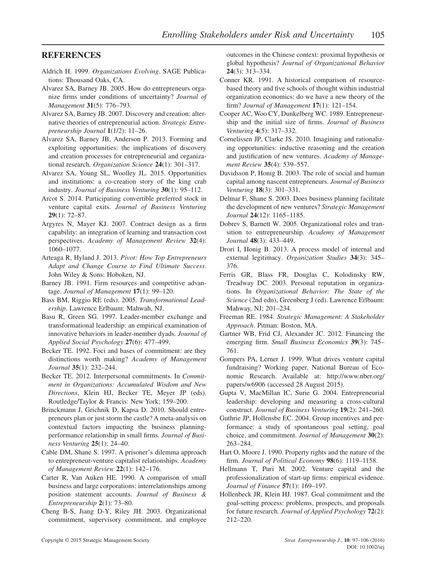# **REFERENCES**

- Aldrich H. 1999. *Organizations Evolving*. SAGE Publications: Thousand Oaks, CA.
- Alvarez SA, Barney JB. 2005. How do entrepreneurs organize firms under conditions of uncertainty? *Journal of Management* **31**(5): 776–793.
- Alvarez SA, Barney JB. 2007. Discovery and creation: alternative theories of entrepreneurial action. *Strategic Entrepreneurship Journal* **1**(1/2): 11–26.
- Alvarez SA, Barney JB, Anderson P. 2013. Forming and exploiting opportunities: the implications of discovery and creation processes for entrepreneurial and organizational research. *Organization Science* **24**(1): 301–317.
- Alvarez SA, Young SL, Woolley JL. 2015. Opportunities and institutions: a co-creation story of the king crab industry. *Journal of Business Venturing* **30**(1): 95–112.
- Arcot S. 2014. Participating convertible preferred stock in venture capital exits. *Journal of Business Venturing* **29**(1): 72–87.
- Argyres N, Mayer KJ. 2007. Contract design as a firm capability: an integration of learning and transaction cost perspectives. *Academy of Management Review* **32**(4): 1060–1077.
- Arteaga R, Hyland J. 2013. *Pivot: How Top Entrepreneurs Adapt and Change Course to Find Ultimate Success*. John Wiley & Sons: Hoboken, NJ.
- Barney JB. 1991. Firm resources and competitive advantage. *Journal of Management* **17**(1): 99–120.
- Bass BM, Riggio RE (eds). 2005. *Transformational Leadership*. Lawrence Erlbaum: Mahwah, NJ.
- Basu R, Green SG. 1997. Leader-member exchange and transformational leadership: an empirical examination of innovative behaviors in leader-member dyads. *Journal of Applied Social Psychology* **27**(6): 477–499.
- Becker TE. 1992. Foci and bases of commitment: are they distinctions worth making? *Academy of Management Journal* **35**(1): 232–244.
- Becker TE. 2012. Interpersonal commitments. In *Commitment in Organizations: Accumulated Wisdom and New Directions*, Klein HJ, Becker TE, Meyer JP (eds). Routledge/Taylor & Francis: New York; 159–200.
- Brinckmann J, Grichnik D, Kapsa D. 2010. Should entrepreneurs plan or just storm the castle? A meta-analysis on contextual factors impacting the business planningperformance relationship in small firms. *Journal of Business Venturing* **25**(1): 24–40.
- Cable DM, Shane S. 1997. A prisoner's dilemma approach to entrepreneur-venture capitalist relationships. *Academy of Management Review* **22**(1): 142–176.
- Carter R, Van Auken HE. 1990. A comparison of small business and large corporations: interrelationships among position statement accounts. *Journal of Business & Entrepreneurship* **2**(1): 73–80.
- Cheng B-S, Jiang D-Y, Riley JH. 2003. Organizational commitment, supervisory commitment, and employee

outcomes in the Chinese context: proximal hypothesis or global hypothesis? *Journal of Organizational Behavior* **24**(3): 313–334.

- Conner KR. 1991. A historical comparison of resourcebased theory and five schools of thought within industrial organization economics: do we have a new theory of the firm? *Journal of Management* **17**(1): 121–154.
- Cooper AC, Woo CY, Dunkelberg WC. 1989. Entrepreneurship and the initial size of firms. *Journal of Business Venturing* **4**(5): 317–332.
- Cornelissen JP, Clarke JS. 2010. Imagining and rationalizing opportunities: inductive reasoning and the creation and justification of new ventures. *Academy of Management Review* **35**(4): 539–557.
- Davidsson P, Honig B. 2003. The role of social and human capital among nascent entrepreneurs. *Journal of Business Venturing* **18**(3): 301–331.
- Delmar F, Shane S. 2003. Does business planning facilitate the development of new ventures? *Strategic Management Journal* **24**(12): 1165–1185.
- Dobrev S, Barnett W. 2005. Organizational roles and transition to entrepreneurship. *Academy of Management Journal* **48**(3): 433–449.
- Drori I, Honig B. 2013. A process model of internal and external legitimacy. *Organization Studies* **34**(3): 345– 376.
- Ferris GR, Blass FR, Douglas C, Kolodinsky RW, Treadway DC. 2003. Personal reputation in organizations. In *Organizational Behavior: The State of the Science* (2nd edn), Greenberg J (ed). Lawrence Erlbaum: Mahway, NJ; 201–234.
- Freeman RE. 1984. *Strategic Management: A Stakeholder Approach*. Pitman: Boston, MA.
- Gartner WB, Frid CJ, Alexander JC. 2012. Financing the emerging firm. *Small Business Economics* **39**(3): 745– 761.
- Gompers PA, Lerner J. 1999. What drives venture capital fundraising? Working paper, National Bureau of Economic Research. Available at: [http://www.nber.org/](http://www.nber.org/papers/w6906) [papers/w6906](http://www.nber.org/papers/w6906) (accessed 28 August 2015).
- Gupta V, MacMillan IC, Surie G. 2004. Entrepreneurial leadership: developing and measuring a cross-cultural construct. *Journal of Business Venturing* **19**(2): 241–260.
- Guthrie JP, Hollensbe EC. 2004. Group incentives and performance: a study of spontaneous goal setting, goal choice, and commitment. *Journal of Management* **30**(2): 263–284.
- Hart O, Moore J. 1990. Property rights and the nature of the firm. *Journal of Political Economy* **98**(6): 1119–1158.
- Hellmann T, Puri M. 2002. Venture capital and the professionalization of start-up firms: empirical evidence. *Journal of Finance* **57**(1): 169–197.
- Hollenbeck JR, Klein HJ. 1987. Goal commitment and the goal-setting process: problems, prospects, and proposals for future research. *Journal of Applied Psychology* **72**(2): 212–220.